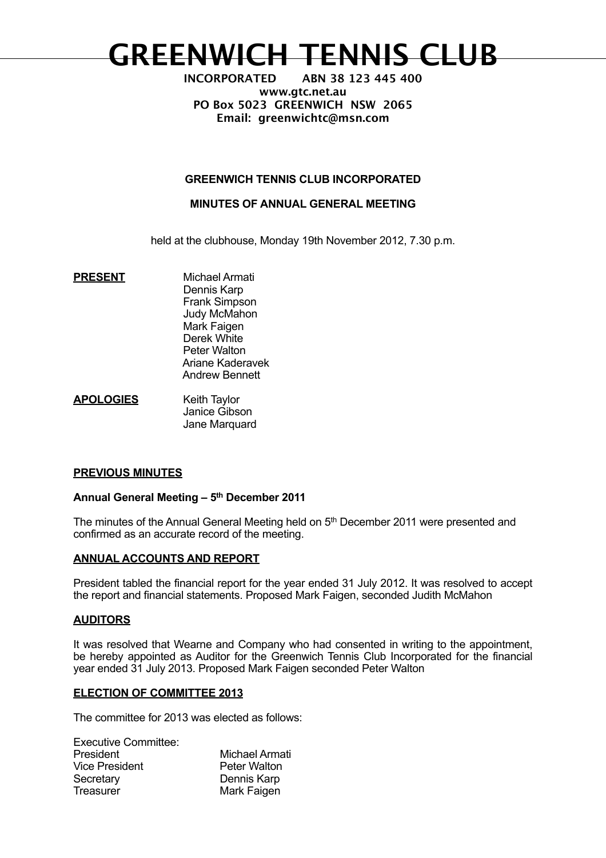# **GREENWICH TENNIS CLUB**

**INCORPORATED ABN 38 123 445 400 www.gtc.net.au PO Box 5023 GREENWICH NSW 2065 Email: greenwichtc@msn.com**

## **GREENWICH TENNIS CLUB INCORPORATED**

## **MINUTES OF ANNUAL GENERAL MEETING**

held at the clubhouse, Monday 19th November 2012, 7.30 p.m.

- **PRESENT** Michael Armati Dennis Karp Frank Simpson Judy McMahon Mark Faigen Derek White Peter Walton Ariane Kaderavek Andrew Bennett
- **APOLOGIES** Keith Taylor Janice Gibson Jane Marquard

## **PREVIOUS MINUTES**

#### **Annual General Meeting – 5th December 2011**

The minutes of the Annual General Meeting held on 5<sup>th</sup> December 2011 were presented and confirmed as an accurate record of the meeting.

#### **ANNUAL ACCOUNTS AND REPORT**

President tabled the financial report for the year ended 31 July 2012. It was resolved to accept the report and financial statements. Proposed Mark Faigen, seconded Judith McMahon

#### **AUDITORS**

It was resolved that Wearne and Company who had consented in writing to the appointment, be hereby appointed as Auditor for the Greenwich Tennis Club Incorporated for the financial year ended 31 July 2013. Proposed Mark Faigen seconded Peter Walton

#### **ELECTION OF COMMITTEE 2013**

The committee for 2013 was elected as follows:

| <b>Executive Committee:</b> |                       |
|-----------------------------|-----------------------|
| President                   | <b>Michael Armati</b> |
| <b>Vice President</b>       | Peter Walton          |
| Secretary                   | Dennis Karp           |
| <b>Treasurer</b>            | Mark Faigen           |